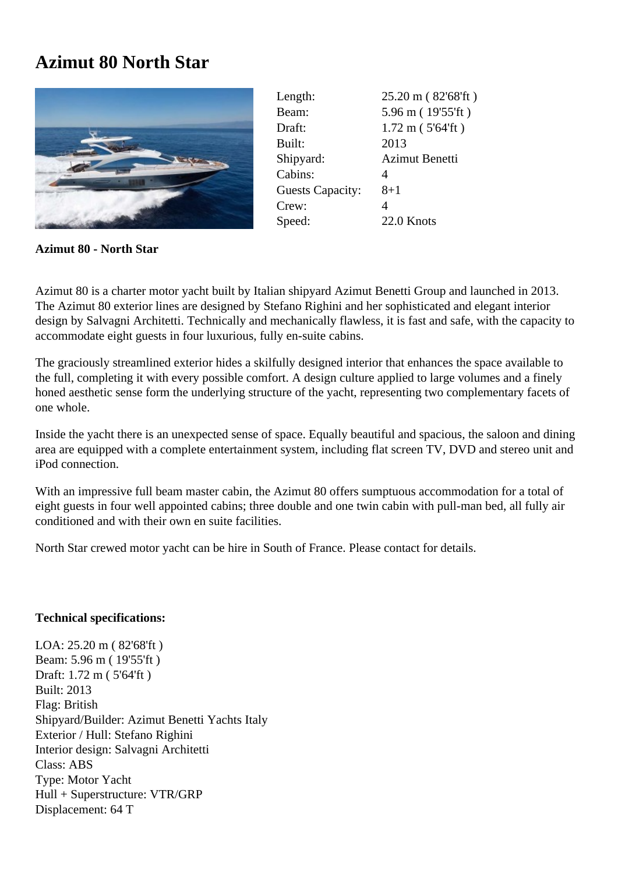## **Azimut 80 North Star**



Length: 25.20 m (82'68'ft) Beam: 5.96 m ( 19'55'ft ) Draft: 1.72 m ( 5'64'ft ) Built: 2013 Shipyard: Azimut Benetti Cabins: 4 Guests Capacity: 8+1 Crew: 4 Speed: 22.0 Knots

**Azimut 80 - North Star**

Azimut 80 is a charter motor yacht built by Italian shipyard Azimut Benetti Group and launched in 2013. The Azimut 80 exterior lines are designed by Stefano Righini and her sophisticated and elegant interior design by Salvagni Architetti. Technically and mechanically flawless, it is fast and safe, with the capacity to accommodate eight guests in four luxurious, fully en-suite cabins.

The graciously streamlined exterior hides a skilfully designed interior that enhances the space available to the full, completing it with every possible comfort. A design culture applied to large volumes and a finely honed aesthetic sense form the underlying structure of the yacht, representing two complementary facets of one whole.

Inside the yacht there is an unexpected sense of space. Equally beautiful and spacious, the saloon and dining area are equipped with a complete entertainment system, including flat screen TV, DVD and stereo unit and iPod connection.

With an impressive full beam master cabin, the Azimut 80 offers sumptuous accommodation for a total of eight guests in four well appointed cabins; three double and one twin cabin with pull-man bed, all fully air conditioned and with their own en suite facilities.

North Star crewed motor yacht can be hire in South of France. Please contact for details.

## **Technical specifications:**

LOA: 25.20 m ( 82'68'ft ) Beam: 5.96 m ( 19'55'ft ) Draft: 1.72 m ( 5'64'ft ) Built: 2013 Flag: British Shipyard/Builder: Azimut Benetti Yachts Italy Exterior / Hull: Stefano Righini Interior design: Salvagni Architetti Class: ABS Type: Motor Yacht Hull + Superstructure: VTR/GRP Displacement: 64 T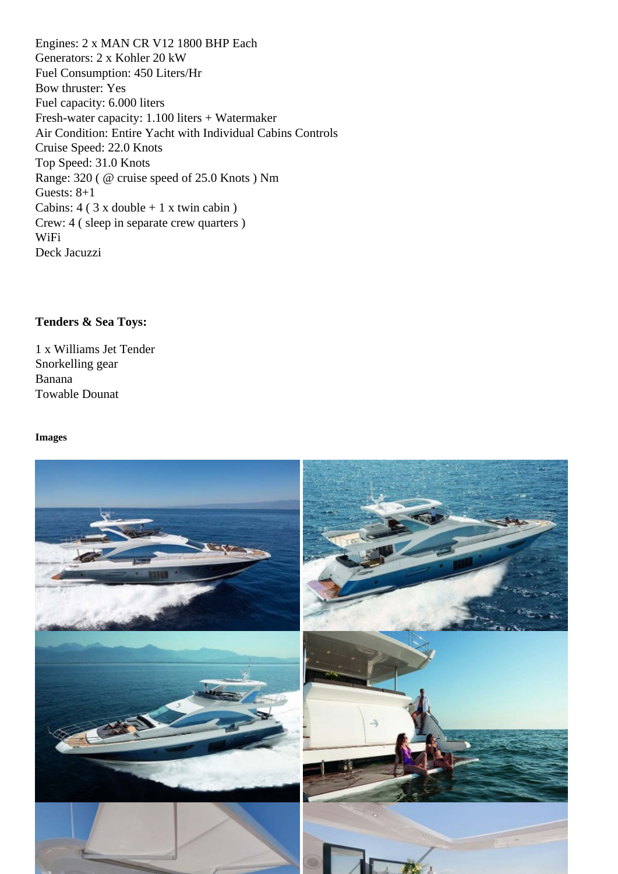Generators: 2 x Kohler 20 kW Fuel Consumption: 450 Liters/Hr Bow thruster: Yes Fuel capacity: 6.000 liters Fresh-water capacity: 1.100 liters + Watermaker Air Condition: Entire Yacht with Individual Cabins Controls Cruise Speed: 22.0 Knots Top Speed: 31.0 Knots Range: 320 ( @ cruise speed of 25.0 Knots ) Nm Guests: 8+1 Cabins: 4 ( 3 x double + 1 x twin cabin ) Crew: 4 ( sleep in separate crew quarters ) WiFi Deck Jacuzzi

Tenders & Sea Toys:

1 x Williams Jet Tender Snorkelling gear Banana Towable Dounat

Images